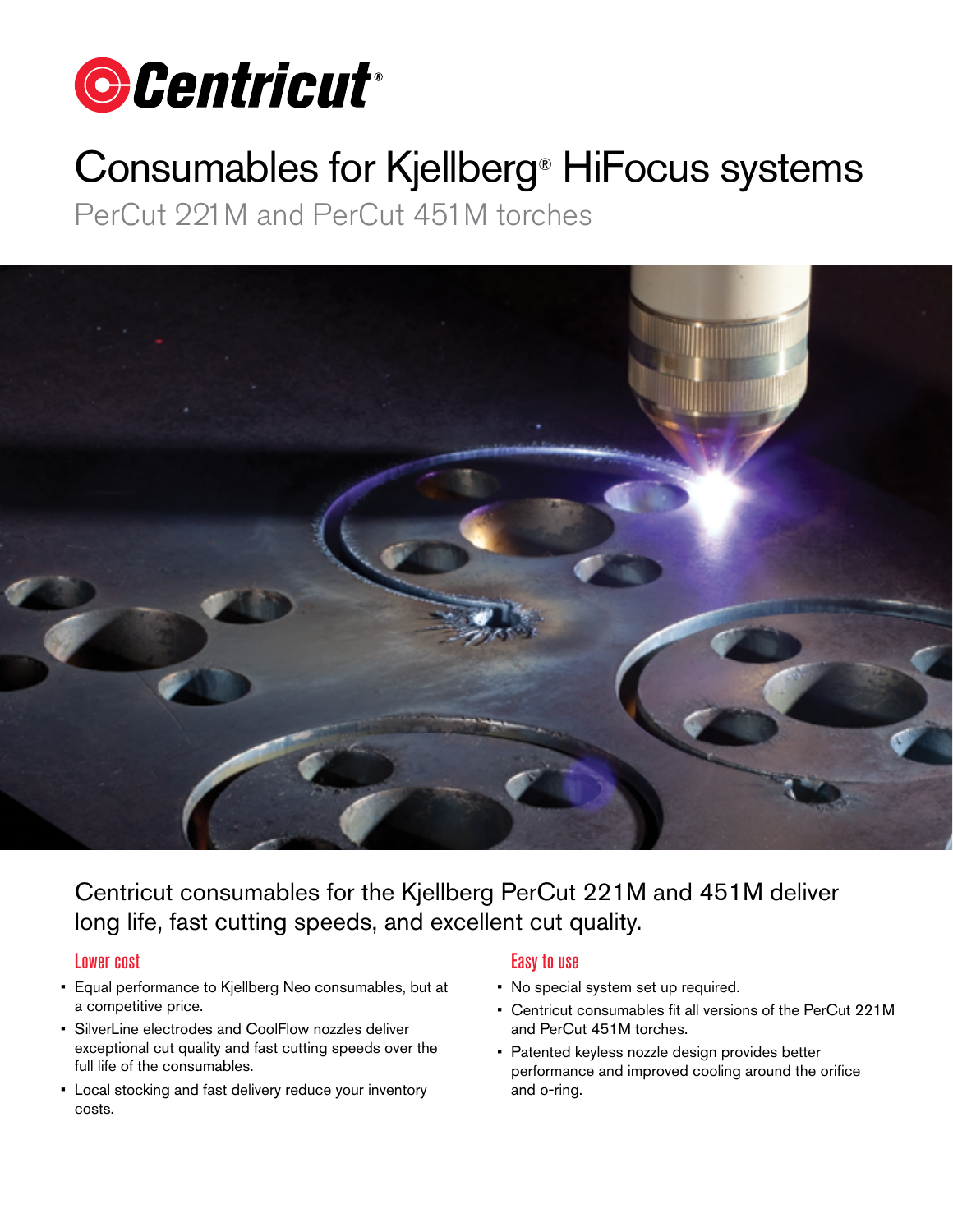

# Consumables for Kjellberg® HiFocus systems

PerCut 221M and PerCut 451M torches



Centricut consumables for the Kjellberg PerCut 221M and 451M deliver long life, fast cutting speeds, and excellent cut quality.

#### Lower cost

- Equal performance to Kjellberg Neo consumables, but at a competitive price.
- SilverLine electrodes and CoolFlow nozzles deliver exceptional cut quality and fast cutting speeds over the full life of the consumables.
- Local stocking and fast delivery reduce your inventory costs.

### Easy to use

- No special system set up required.
- Centricut consumables fit all versions of the PerCut 221M and PerCut 451M torches.
- Patented keyless nozzle design provides better performance and improved cooling around the orifice and o-ring.